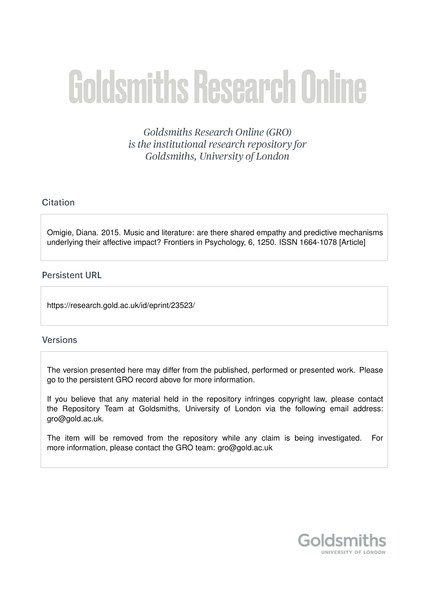# **Goldsmiths Research Online**

Goldsmiths Research Online (GRO) is the institutional research repository for Goldsmiths, University of London

# Citation

Omigie, Diana. 2015. Music and literature: are there shared empathy and predictive mechanisms underlying their affective impact? Frontiers in Psychology, 6, 1250. ISSN 1664-1078 [Article]

# **Persistent URL**

https://research.gold.ac.uk/id/eprint/23523/

# **Versions**

The version presented here may differ from the published, performed or presented work. Please go to the persistent GRO record above for more information.

If you believe that any material held in the repository infringes copyright law, please contact the Repository Team at Goldsmiths, University of London via the following email address: gro@gold.ac.uk.

The item will be removed from the repository while any claim is being investigated. For more information, please contact the GRO team: gro@gold.ac.uk

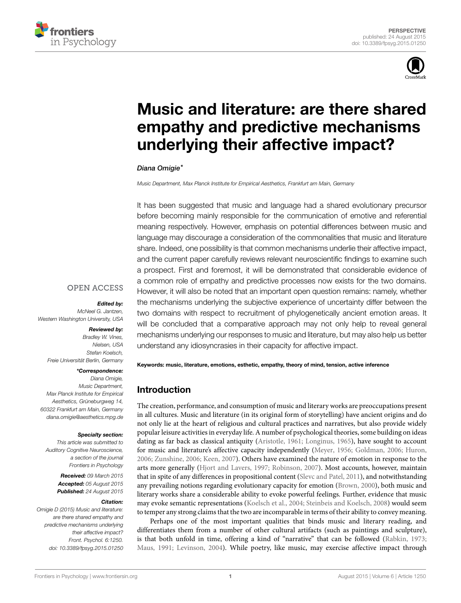



# **[Music and literature: are there shared](http://journal.frontiersin.org/article/10.3389/fpsyg.2015.01250/abstract) [empathy and predictive mechanisms](http://journal.frontiersin.org/article/10.3389/fpsyg.2015.01250/abstract) [underlying their affective impact?](http://journal.frontiersin.org/article/10.3389/fpsyg.2015.01250/abstract)**

*[Diana Omigie\\*](http://loop.frontiersin.org/people/28143)*

*Music Department, Max Planck Institute for Empirical Aesthetics, Frankfurt am Main, Germany*

It has been suggested that music and language had a shared evolutionary precursor before becoming mainly responsible for the communication of emotive and referential meaning respectively. However, emphasis on potential differences between music and language may discourage a consideration of the commonalities that music and literature share. Indeed, one possibility is that common mechanisms underlie their affective impact, and the current paper carefully reviews relevant neuroscientific findings to examine such a prospect. First and foremost, it will be demonstrated that considerable evidence of a common role of empathy and predictive processes now exists for the two domains. However, it will also be noted that an important open question remains: namely, whether the mechanisms underlying the subjective experience of uncertainty differ between the two domains with respect to recruitment of phylogenetically ancient emotion areas. It will be concluded that a comparative approach may not only help to reveal general mechanisms underlying our responses to music and literature, but may also help us better understand any idiosyncrasies in their capacity for affective impact.

# **OPEN ACCESS**

#### *Edited by:*

*McNeel G. Jantzen, Western Washington University, USA*

#### *Reviewed by:*

*Bradley W. Vines, Nielsen, USA Stefan Koelsch, Freie Universität Berlin, Germany*

#### *\*Correspondence:*

*Diana Omigie, Music Department, Max Planck Institute for Empirical Aesthetics, Grüneburgweg 14, 60322 Frankfurt am Main, Germany [diana.omigie@aesthetics.mpg.de](mailto:diana.omigie@aesthetics.mpg.de)*

#### *Specialty section:*

*This article was submitted to Auditory Cognitive Neuroscience, a section of the journal Frontiers in Psychology*

> *Received: 09 March 2015 Accepted: 05 August 2015 Published: 24 August 2015*

#### *Citation:*

*Omigie D (2015) Music and literature: are there shared empathy and predictive mechanisms underlying their affective impact? Front. Psychol. 6:1250. [doi: 10.3389/fpsyg.2015.01250](http://dx.doi.org/10.3389/fpsyg.2015.01250)* **Keywords: music, literature, emotions, esthetic, empathy, theory of mind, tension, active inference**

# **Introduction**

The creation, performance, and consumption of music and literary works are preoccupations present in all cultures. Music and literature (in its original form of storytelling) have ancient origins and do not only lie at the heart of religious and cultural practices and narratives, but also provide widely popular leisure activities in everyday life. A number of psychological theories, some building on ideas dating as far back as classical antiquity [\(Aristotle](#page-4-0), [1961](#page-4-0); [Longinus](#page-5-0), [1965](#page-5-0)), have sought to account for music and literature's affective capacity independently [\(Meyer](#page-5-1), [1956;](#page-5-1) [Goldman, 2006](#page-5-2); [Huron](#page-5-3), [2006](#page-5-3); [Zunshine, 2006](#page-6-0); [Keen, 2007\)](#page-5-4). Others have examined the nature of emotion in response to the arts more generally([Hjort and Lavers, 1997](#page-5-5); [Robinson, 2007](#page-6-1)). Most accounts, however, maintain that in spite of any differences in propositional content [\(Slevc and Patel](#page-6-2), [2011](#page-6-2)), and notwithstanding any prevailing notions regarding evolutionary capacity for emotion([Brown, 2000](#page-4-1)), both music and literary works share a considerable ability to evoke powerful feelings. Further, evidence that music may evoke semantic representations([Koelsch et al., 2004](#page-5-6); [Steinbeis and Koelsch, 2008\)](#page-6-3) would seem to temper any strong claims that the two are incomparable in terms of their ability to convey meaning.

Perhaps one of the most important qualities that binds music and literary reading, and differentiates them from a number of other cultural artifacts (such as paintings and sculpture), is that both unfold in time, offering a kind of "narrative" that can be followed([Rabkin, 1973](#page-6-4); [Maus, 1991](#page-5-7); [Levinson](#page-5-8), [2004](#page-5-8)). While poetry, like music, may exercise affective impact through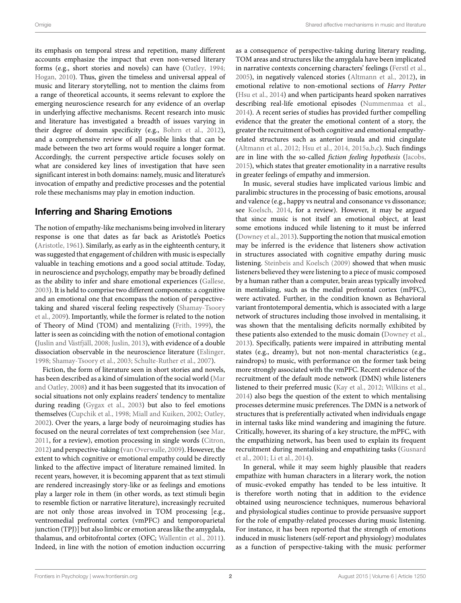its emphasis on temporal stress and repetition, many different accounts emphasize the impact that even non-versed literary forms (e.g., short stories and novels) can have [\(Oatley](#page-5-9), [1994;](#page-5-9) [Hogan,](#page-5-10) [2010](#page-5-10)). Thus, given the timeless and universal appeal of music and literary storytelling, not to mention the claims from a range of theoretical accounts, it seems relevant to explore the emerging neuroscience research for any evidence of an overlap in underlying affective mechanisms. Recent research into music and literature has investigated a breadth of issues varying in their degree of domain specificity (e.g., [Bohrn et al.](#page-4-2), [2012](#page-4-2)), and a comprehensive review of all possible links that can be made between the two art forms would require a longer format. Accordingly, the current perspective article focuses solely on what are considered key lines of investigation that have seen significant interest in both domains: namely, music and literature's invocation of empathy and predictive processes and the potential role these mechanisms may play in emotion induction.

# **Inferring and Sharing Emotions**

The notion of empathy-like mechanisms being involved in literary response is one that dates as far back as Aristotle's Poetics [\(Aristotle](#page-4-0), [1961\)](#page-4-0). Similarly, as early as in the eighteenth century, it was suggested that engagement of children with music is especially valuable in teaching emotions and a good social attitude. Today, in neuroscience and psychology, empathy may be broadly defined as the ability to infer and share emotional experiences [\(Gallese,](#page-5-11) [2003](#page-5-11)). It is held to comprise two different components: a cognitive and an emotional one that encompass the notion of perspectivetaking and shared visceral feeling respectively([Shamay-Tsoory](#page-6-5) [et al.,](#page-6-5) [2009](#page-6-5)). Importantly, while the former is related to the notion of Theory of Mind (TOM) and mentalizing [\(Frith](#page-5-12), [1999](#page-5-12)), the latter is seen as coinciding with the notion of emotional contagion [\(Juslin and Västfjäll,](#page-5-13) [2008](#page-5-13); [Juslin,](#page-5-14) [2013\)](#page-5-14), with evidence of a double dissociation observable in the neuroscience literature([Eslinger,](#page-4-3) [1998](#page-4-3); [Shamay-Tsoory et al.,](#page-6-6) [2003](#page-6-6); [Schulte-Ruther et al.](#page-6-7), [2007\)](#page-6-7).

Fiction, the form of literature seen in short stories and novels, has been described as a kind of simulation of the social world([Mar](#page-5-15) [and Oatley](#page-5-15), [2008](#page-5-15)) and it has been suggested that its invocation of social situations not only explains readers' tendency to mentalize during reading([Gygax et al.,](#page-5-16) [2003](#page-5-16)) but also to feel emotions themselves([Cupchik et al.](#page-4-4), [1998;](#page-4-4) [Miall and Kuiken,](#page-5-17) [2002](#page-5-17); [Oatley,](#page-5-18) [2002](#page-5-18)). Over the years, a large body of neuroimaging studies has focused on the neural correlates of text comprehension (see [Mar,](#page-5-19) [2011](#page-5-19), for a review), emotion processing in single words([Citron,](#page-4-5) [2012](#page-4-5)) and perspective-taking([van Overwalle,](#page-6-8) [2009\)](#page-6-8). However, the extent to which cognitive or emotional empathy could be directly linked to the affective impact of literature remained limited. In recent years, however, it is becoming apparent that as text stimuli are rendered increasingly story-like or as feelings and emotions play a larger role in them (in other words, as text stimuli begin to resemble fiction or narrative literature), increasingly recruited are not only those areas involved in TOM processing [e.g., ventromedial prefrontal cortex (vmPFC) and temporoparietal junction (TPJ)] but also limbic or emotion areas like the amygdala, thalamus, and orbitofrontal cortex (OFC; [Wallentin et al.](#page-6-9), [2011](#page-6-9)). Indeed, in line with the notion of emotion induction occurring as a consequence of perspective-taking during literary reading, TOM areas and structures like the amygdala have been implicated in narrative contexts concerning characters' feelings([Ferstl et al.](#page-4-6), [2005\)](#page-4-6), in negatively valenced stories([Altmann et al.](#page-4-7), [2012](#page-4-7)), in emotional relative to non-emotional sections of *Harry Potter* ([Hsu et al.,](#page-5-20) [2014](#page-5-20)) and when participants heard spoken narratives describing real-life emotional episodes([Nummenmaa et al.](#page-5-21), [2014\)](#page-5-21). A recent series of studies has provided further compelling evidence that the greater the emotional content of a story, the greater the recruitment of both cognitive and emotional empathyrelated structures such as anterior insula and mid cingulate ([Altmann et al.,](#page-4-7) [2012;](#page-4-7) [Hsu et al.,](#page-5-20) [2014,](#page-5-20) [2015a,](#page-5-22)[b,](#page-5-23)[c\)](#page-5-24). Such findings are in line with the so-called *fiction feeling hypothesis* ([Jacobs](#page-5-25), [2015\)](#page-5-25), which states that greater emotionality in a narrative results in greater feelings of empathy and immersion.

In music, several studies have implicated various limbic and paralimbic structures in the processing of basic emotions, arousal and valence (e.g., happy vs neutral and consonance vs dissonance; see [Koelsch](#page-5-26), [2014](#page-5-26), for a review). However, it may be argued that since music is not itself an emotional object, at least some emotions induced while listening to it must be inferred ([Downey et al.](#page-4-8), [2013](#page-4-8)). Supporting the notion that musical emotion may be inferred is the evidence that listeners show activation in structures associated with cognitive empathy during music listening. [Steinbeis and Koelsch](#page-6-10) [\(2009](#page-6-10)) showed that when music listeners believed they were listening to a piece of music composed by a human rather than a computer, brain areas typically involved in mentalising, such as the medial prefrontal cortex (mPFC), were activated. Further, in the condition known as Behavioral variant frontotemporal dementia, which is associated with a large network of structures including those involved in mentalising, it was shown that the mentalising deficits normally exhibited by these patients also extended to the music domain [\(Downey et al.](#page-4-8), [2013\)](#page-4-8). Specifically, patients were impaired in attributing mental states (e.g., dreamy), but not non-mental characteristics (e.g., raindrops) to music, with performance on the former task being more strongly associated with the vmPFC. Recent evidence of the recruitment of the default mode network (DMN) while listeners listened to their preferred music [\(Kay et al.,](#page-5-27) [2012](#page-5-27); [Wilkins et al.](#page-6-11), [2014\)](#page-6-11) also begs the question of the extent to which mentalising processes determine music preferences. The DMN is a network of structures that is preferentially activated when individuals engage in internal tasks like mind wandering and imagining the future. Critically, however, its sharing of a key structure, the mPFC, with the empathizing network, has been used to explain its frequent recruitment during mentalising and empathizing tasks [\(Gusnard](#page-5-28) [et al.](#page-5-28), [2001;](#page-5-28) [Li et al.,](#page-5-29) [2014](#page-5-29)).

In general, while it may seem highly plausible that readers empathize with human characters in a literary work, the notion of music-evoked empathy has tended to be less intuitive. It is therefore worth noting that in addition to the evidence obtained using neuroscience techniques, numerous behavioral and physiological studies continue to provide persuasive support for the role of empathy-related processes during music listening. For instance, it has been reported that the strength of emotions induced in music listeners (self-report and physiology) modulates as a function of perspective-taking with the music performer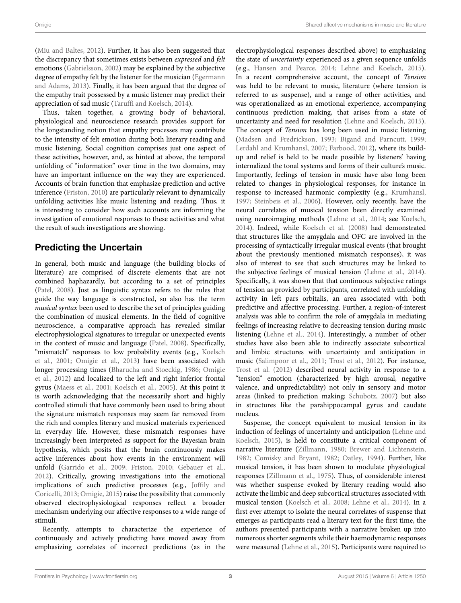[\(Miu and Baltes](#page-5-30), [2012\)](#page-5-30). Further, it has also been suggested that the discrepancy that sometimes exists between *expressed* and *felt* emotions([Gabrielsson,](#page-5-31) [2002](#page-5-31)) may be explained by the subjective degree of empathy felt by the listener for the musician [\(Egermann](#page-4-9) [and Adams,](#page-4-9) [2013\)](#page-4-9). Finally, it has been argued that the degree of the empathy trait possessed by a music listener may predict their appreciation of sad music([Taruffi and Koelsch](#page-6-12), [2014\)](#page-6-12).

Thus, taken together, a growing body of behavioral, physiological and neuroscience research provides support for the longstanding notion that empathy processes may contribute to the intensity of felt emotion during both literary reading and music listening. Social cognition comprises just one aspect of these activities, however, and, as hinted at above, the temporal unfolding of "information" over time in the two domains, may have an important influence on the way they are experienced. Accounts of brain function that emphasize prediction and active inference([Friston,](#page-5-32) [2010\)](#page-5-32) are particularly relevant to dynamically unfolding activities like music listening and reading. Thus, it is interesting to consider how such accounts are informing the investigation of emotional responses to these activities and what the result of such investigations are showing.

# **Predicting the Uncertain**

In general, both music and language (the building blocks of literature) are comprised of discrete elements that are not combined haphazardly, but according to a set of principles [\(Patel,](#page-6-13) [2008](#page-6-13)). Just as linguistic syntax refers to the rules that guide the way language is constructed, so also has the term *musical syntax* been used to describe the set of principles guiding the combination of musical elements. In the field of cognitive neuroscience, a comparative approach has revealed similar electrophysiological signatures to irregular or unexpected events in the context of music and language [\(Patel](#page-6-13), [2008\)](#page-6-13). Specifically, "mismatch" responses to low probability events (e.g., [Koelsch](#page-5-33) [et al.,](#page-5-33) [2001;](#page-5-33) [Omigie et al.,](#page-6-14) [2013](#page-6-14)) have been associated with longer processing times([Bharucha and Stoeckig](#page-4-10), [1986;](#page-4-10) [Omigie](#page-6-15) [et al.](#page-6-15), [2012](#page-6-15)) and localized to the left and right inferior frontal gyrus([Maess et al.](#page-5-34), [2001](#page-5-34); [Koelsch et al.,](#page-5-35) [2005\)](#page-5-35). At this point it is worth acknowledging that the necessarily short and highly controlled stimuli that have commonly been used to bring about the signature mismatch responses may seem far removed from the rich and complex literary and musical materials experienced in everyday life. However, these mismatch responses have increasingly been interpreted as support for the Bayesian brain hypothesis, which posits that the brain continuously makes active inferences about how events in the environment will unfold([Garrido et al.,](#page-5-36) [2009;](#page-5-36) [Friston](#page-5-32), [2010](#page-5-32); [Gebauer et al.,](#page-5-37) [2012](#page-5-37)). Critically, growing investigations into the emotional implications of such predictive processes (e.g., [Joffily and](#page-5-38) [Coricelli,](#page-5-38) [2013;](#page-5-38) [Omigie](#page-6-16), [2015](#page-6-16)) raise the possibility that commonly observed electrophysiological responses reflect a broader mechanism underlying our affective responses to a wide range of stimuli.

Recently, attempts to characterize the experience of continuously and actively predicting have moved away from emphasizing correlates of incorrect predictions (as in the electrophysiological responses described above) to emphasizing the state of *uncertainty* experienced as a given sequence unfolds (e.g., [Hansen and Pearce,](#page-5-39) [2014;](#page-5-39) [Lehne and Koelsch,](#page-5-40) [2015\)](#page-5-40). In a recent comprehensive account, the concept of *Tension* was held to be relevant to music, literature (where tension is referred to as suspense), and a range of other activities, and was operationalized as an emotional experience, accompanying continuous prediction making, that arises from a state of uncertainty and need for resolution([Lehne and Koelsch](#page-5-40), [2015\)](#page-5-40). The concept of *Tension* has long been used in music listening ([Madsen and Fredrickson](#page-5-41), [1993;](#page-5-41) [Bigand and Parncutt,](#page-4-11) [1999](#page-4-11); [Lerdahl and Krumhansl,](#page-5-42) [2007](#page-5-42); [Farbood](#page-4-12), [2012\)](#page-4-12), where its buildup and relief is held to be made possible by listeners' having internalized the tonal systems and forms of their culture's music. Importantly, feelings of tension in music have also long been related to changes in physiological responses, for instance in response to increased harmonic complexity (e.g., [Krumhansl](#page-5-43), [1997;](#page-5-43) [Steinbeis et al.,](#page-6-17) [2006\)](#page-6-17). However, only recently, have the neural correlates of musical tension been directly examined using neuroimaging methods([Lehne et al.,](#page-5-44) [2014;](#page-5-44) see [Koelsch](#page-5-26), [2014\)](#page-5-26). Indeed, while [Koelsch et al.](#page-5-45) [\(2008](#page-5-45)) had demonstrated that structures like the amygdala and OFC are involved in the processing of syntactically irregular musical events (that brought about the previously mentioned mismatch responses), it was also of interest to see that such structures may be linked to the subjective feelings of musical tension([Lehne et al.,](#page-5-44) [2014\)](#page-5-44). Specifically, it was shown that that continuous subjective ratings of tension as provided by participants, correlated with unfolding activity in left pars orbitalis, an area associated with both predictive and affective processing. Further, a region-of-interest analysis was able to confirm the role of amygdala in mediating feelings of increasing relative to decreasing tension during music listening([Lehne et al.,](#page-5-44) [2014\)](#page-5-44). Interestingly, a number of other studies have also been able to indirectly associate subcortical and limbic structures with uncertainty and anticipation in music([Salimpoor et al.,](#page-6-18) [2011;](#page-6-18) [Trost et al.](#page-6-19), [2012](#page-6-19)). For instance, [Trost et al.](#page-6-19) [\(2012](#page-6-19)) described neural activity in response to a "tension" emotion (characterized by high arousal, negative valence, and unpredictability) not only in sensory and motor areas (linked to prediction making; [Schubotz,](#page-6-20) [2007\)](#page-6-20) but also in structures like the parahippocampal gyrus and caudate nucleus.

Suspense, the concept equivalent to musical tension in its induction of feelings of uncertainty and anticipation([Lehne and](#page-5-40) [Koelsch](#page-5-40), [2015](#page-5-40)), is held to constitute a critical component of narrative literature([Zillmann](#page-6-21), [1980](#page-6-21); [Brewer and Lichtenstein](#page-4-13), [1982;](#page-4-13) [Comisky and Bryant](#page-4-14), [1982;](#page-4-14) [Oatley](#page-5-9), [1994\)](#page-5-9). Further, like musical tension, it has been shown to modulate physiological responses([Zillmann et al.,](#page-6-22) [1975\)](#page-6-22). Thus, of considerable interest was whether suspense evoked by literary reading would also activate the limbic and deep subcortical structures associated with musical tension [\(Koelsch et al.,](#page-5-45) [2008;](#page-5-45) [Lehne et al.](#page-5-44), [2014](#page-5-44)). In a first ever attempt to isolate the neural correlates of suspense that emerges as participants read a literary text for the first time, the authors presented participants with a narrative broken up into numerous shorter segments while their haemodynamic responses were measured([Lehne et al.](#page-5-46), [2015\)](#page-5-46). Participants were required to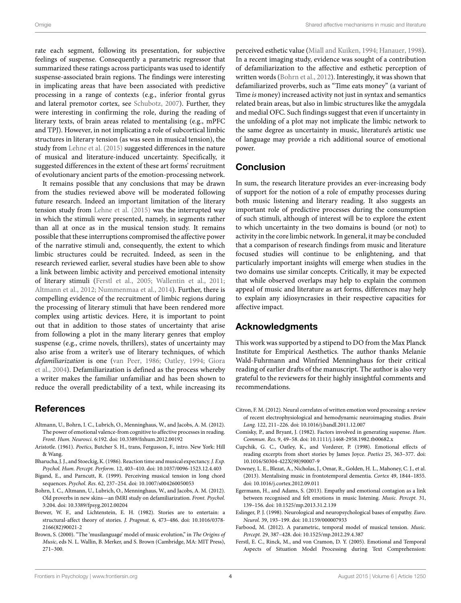rate each segment, following its presentation, for subjective feelings of suspense. Consequently a parametric regressor that summarized these ratings across participants was used to identify suspense-associated brain regions. The findings were interesting in implicating areas that have been associated with predictive processing in a range of contexts (e.g., inferior frontal gyrus and lateral premotor cortex, see [Schubotz,](#page-6-20) [2007\)](#page-6-20). Further, they were interesting in confirming the role, during the reading of literary texts, of brain areas related to mentalising (e.g., mPFC and TPJ). However, in not implicating a role of subcortical limbic structures in literary tension (as was seen in musical tension), the study from [Lehne et al.](#page-5-46) [\(2015](#page-5-46)) suggested differences in the nature of musical and literature-induced uncertainty. Specifically, it suggested differences in the extent of these art forms' recruitment of evolutionary ancient parts of the emotion-processing network.

It remains possible that any conclusions that may be drawn from the studies reviewed above will be moderated following future research. Indeed an important limitation of the literary tension study from [Lehne et al.](#page-5-46) ([2015](#page-5-46)) was the interrupted way in which the stimuli were presented, namely, in segments rather than all at once as in the musical tension study. It remains possible that these interruptions compromised the affective power of the narrative stimuli and, consequently, the extent to which limbic structures could be recruited. Indeed, as seen in the research reviewed earlier, several studies have been able to show a link between limbic activity and perceived emotional intensity of literary stimuli([Ferstl et al.,](#page-4-6) [2005;](#page-4-6) [Wallentin et al.,](#page-6-9) [2011;](#page-6-9) [Altmann et al.](#page-4-7), [2012](#page-4-7); [Nummenmaa et al.,](#page-5-21) [2014](#page-5-21)). Further, there is compelling evidence of the recruitment of limbic regions during the processing of literary stimuli that have been rendered more complex using artistic devices. Here, it is important to point out that in addition to those states of uncertainty that arise from following a plot in the many literary genres that employ suspense (e.g., crime novels, thrillers), states of uncertainty may also arise from a writer's use of literary techniques, of which *defamiliarization* is one [\(van Peer,](#page-6-23) [1986;](#page-6-23) [Oatley](#page-5-9), [1994](#page-5-9); [Giora](#page-5-47) [et al.](#page-5-47), [2004](#page-5-47)). Defamiliarization is defined as the process whereby a writer makes the familiar unfamiliar and has been shown to reduce the overall predictability of a text, while increasing its

# **References**

- <span id="page-4-7"></span>Altmann, U., Bohrn, I. C., Lubrich, O., Menninghaus, W., and Jacobs, A. M. (2012). The power of emotional valence-from cognitive to affective processes in reading. *Front. Hum. Neurosci.* 6:192. doi: 10.3389/fnhum.2012.00192
- <span id="page-4-0"></span>Aristotle. (1961). *Poetics*, Butcher S. H., trans, Fergusson, F., intro. New York: Hill & Wang.
- <span id="page-4-10"></span>Bharucha, J. J., and Stoeckig, K. (1986). Reaction time and musical expectancy.*J. Exp. Psychol. Hum. Percept. Perform.* 12, 403–410. doi: 10.1037/0096-1523.12.4.403
- <span id="page-4-11"></span>Bigand, E., and Parncutt, R. (1999). Perceiving musical tension in long chord sequences. *Psychol. Res.* 62, 237–254. doi: 10.1007/s004260050053
- <span id="page-4-2"></span>Bohrn, I. C., Altmann, U., Lubrich, O., Menninghaus, W., and Jacobs, A. M. (2012). Old proverbs in new skins—an fMRI study on defamiliarization. *Front. Psychol.* 3:204. doi: 10.3389/fpsyg.2012.00204
- <span id="page-4-13"></span>Brewer, W. F., and Lichtenstein, E. H. (1982). Stories are to entertain: a structural-affect theory of stories. *J. Pragmat.* 6, 473–486. doi: 10.1016/0378- 2166(82)90021-2
- <span id="page-4-1"></span>Brown, S. (2000). "The 'musilanguage' model of music evolution," in *The Origins of Music*, eds N. L. Wallin, B. Merker, and S. Brown (Cambridge, MA: MIT Press), 271–300.

perceived esthetic value [\(Miall and Kuiken,](#page-5-48) [1994;](#page-5-48) [Hanauer,](#page-5-49) [1998\)](#page-5-49). In a recent imaging study, evidence was sought of a contribution of defamiliarization to the affective and esthetic perception of written words([Bohrn et al.](#page-4-2), [2012](#page-4-2)). Interestingly, it was shown that defamiliarized proverbs, such as "Time eats money" (a variant of Time *is* money) increased activity not just in syntax and semantics related brain areas, but also in limbic structures like the amygdala and medial OFC. Such findings suggest that even if uncertainty in the unfolding of a plot may not implicate the limbic network to the same degree as uncertainty in music, literature's artistic use of language may provide a rich additional source of emotional power.

# **Conclusion**

In sum, the research literature provides an ever-increasing body of support for the notion of a role of empathy processes during both music listening and literary reading. It also suggests an important role of predictive processes during the consumption of such stimuli, although of interest will be to explore the extent to which uncertainty in the two domains is bound (or not) to activity in the core limbic network. In general, it may be concluded that a comparison of research findings from music and literature focused studies will continue to be enlightening, and that particularly important insights will emerge when studies in the two domains use similar concepts. Critically, it may be expected that while observed overlaps may help to explain the common appeal of music and literature as art forms, differences may help to explain any idiosyncrasies in their respective capacities for affective impact.

# **Acknowledgments**

This work was supported by a stipend to DO from the Max Planck Institute for Empirical Aesthetics. The author thanks Melanie Wald-Fuhrmann and Winfried Menninghaus for their critical reading of earlier drafts of the manuscript. The author is also very grateful to the reviewers for their highly insightful comments and recommendations.

- <span id="page-4-5"></span>Citron, F. M. (2012). Neural correlates of written emotion word processing: a review of recent electrophysiological and hemodynamic neuroimaging studies. *Brain Lang.* 122, 211–226. doi: 10.1016/j.bandl.2011.12.007
- <span id="page-4-14"></span>Comisky, P., and Bryant, J. (1982). Factors involved in generating suspense. *Hum. Commun. Res.* 9, 49–58. doi: 10.1111/j.1468-2958.1982.tb00682.x
- <span id="page-4-4"></span>Cupchik, G. C., Oatley, K., and Vorderer, P. (1998). Emotional effects of reading excerpts from short stories by James Joyce. *Poetics* 25, 363–377. doi: 10.1016/S0304-422X(98)90007-9
- <span id="page-4-8"></span>Downey, L. E., Blezat, A., Nicholas, J., Omar, R., Golden, H. L., Mahoney, C. J., et al. (2013). Mentalising music in frontotemporal dementia. *Cortex* 49, 1844–1855. doi: 10.1016/j.cortex.2012.09.011
- <span id="page-4-9"></span>Egermann, H., and Adams, S. (2013). Empathy and emotional contagion as a link between recognised and felt emotions in music listening. *Music. Percept.* 31, 139–156. doi: 10.1525/mp.2013.31.2.139
- <span id="page-4-3"></span>Eslinger, P. J. (1998). Neurological and neuropsychological bases of empathy. *Euro. Neurol.* 39, 193–199. doi: 10.1159/000007933
- <span id="page-4-12"></span>Farbood, M. (2012). A parametric, temporal model of musical tension. *Music. Percept.* 29, 387–428. doi: 10.1525/mp.2012.29.4.387
- <span id="page-4-6"></span>Ferstl, E. C., Rinck, M., and von Cramon, D. Y. (2005). Emotional and Temporal Aspects of Situation Model Processing during Text Comprehension: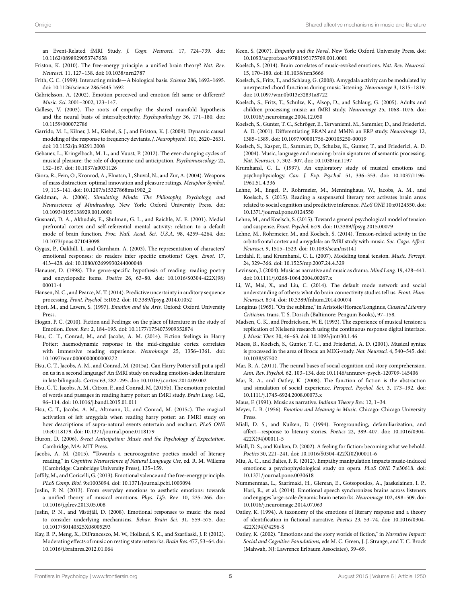an Event-Related fMRI Study. *J. Cogn. Neurosci.* 17, 724–739. doi: 10.1162/0898929053747658

- <span id="page-5-32"></span>Friston, K. (2010). The free-energy principle: a unified brain theory? *Nat. Rev. Neurosci.* 11, 127–138. doi: 10.1038/nrn2787
- <span id="page-5-12"></span>Frith, C. C. (1999). Interacting minds—A biological basis. *Science* 286, 1692–1695. doi: 10.1126/science.286.5445.1692
- <span id="page-5-31"></span>Gabrielsson, A. (2002). Emotion perceived and emotion felt same or different? *Music. Sci.* 2001–2002, 123–147.
- <span id="page-5-11"></span>Gallese, V. (2003). The roots of empathy: the shared manifold hypothesis and the neural basis of intersubjectivity. *Psychopathology* 36, 171–180. doi: 10.1159/000072786
- <span id="page-5-36"></span>Garrido, M. I., Kilner, J. M., Kiebel, S. J., and Friston, K. J. (2009). Dynamic causal modeling of the response to frequency deviants. *J. Neurophysiol.* 101, 2620–2631. doi: 10.1152/jn.90291.2008
- <span id="page-5-37"></span>Gebauer, L., Kringelbach, M. L., and Vuust, P. (2012). The ever-changing cycles of musical pleasure: the role of dopamine and anticipation. *Psychomusicology* 22, 152–167. doi: 10.1037/a0031126
- <span id="page-5-47"></span>Giora, R., Fein, O., Kronrod, A., Elnatan, I., Shuval, N., and Zur, A. (2004). Weapons of mass distraction: optimal innovation and pleasure ratings. *Metaphor Symbol.* 19, 115–141. doi: 10.1207/s15327868ms1902\_2
- <span id="page-5-2"></span>Goldman, A. (2006). *Simulating Minds: The Philosophy, Psychology, and Neuroscience of Mindreading*. New York: Oxford University Press. doi: 10.1093/0195138929.001.0001
- <span id="page-5-28"></span>Gusnard, D. A., Akbudak, E., Shulman, G. L., and Raichle, M. E. (2001). Medial prefrontal cortex and self-referential mental activity: relation to a default mode of brain function. *Proc. Natl. Acad. Sci. U.S.A.* 98, 4259–4264. doi: 10.1073/pnas.071043098
- <span id="page-5-16"></span>Gygax, P., Oakhill, J., and Garnham, A. (2003). The representation of characters' emotional responses: do readers infer specific emotions? *Cogn. Emot.* 17, 413–428. doi: 10.1080/02699930244000048
- <span id="page-5-49"></span>Hanauer, D. (1998). The genre-specific hypothesis of reading: reading poetry and encyclopedic items. *Poetics* 26, 63–80. doi: 10.1016/S0304-422X(98) 00011-4
- <span id="page-5-39"></span>Hansen, N. C., and Pearce, M. T. (2014). Predictive uncertainty in auditory sequence processing. *Front. Psychol.* 5:1052. doi: 10.3389/fpsyg.2014.01052
- <span id="page-5-5"></span>Hjort, M., and Lavers, S. (1997). *Emotion and the Arts*. Oxford: Oxford University Press.
- <span id="page-5-10"></span>Hogan, P. C. (2010). Fiction and Feelings: on the place of literature in the study of Emotion. *Emot. Rev.* 2, 184–195. doi: 10.1177/1754073909352874
- <span id="page-5-20"></span>Hsu, C. T., Conrad, M., and Jacobs, A. M. (2014). Fiction feelings in Harry Potter: haemodynamic response in the mid-cingulate cortex correlates with immersive reading experience. *Neuroimage* 25, 1356–1361. doi: 10.1097/wnr.0000000000000272
- <span id="page-5-22"></span>Hsu, C. T., Jacobs, A. M., and Conrad, M. (2015a). Can Harry Potter still put a spell on us in a second language? An fMRI study on reading emotion-laden literature in late bilinguals. *Cortex* 63, 282–295. doi: 10.1016/j.cortex.2014.09.002
- <span id="page-5-23"></span>Hsu, C. T., Jacobs, A. M., Citron, F., and Conrad, M. (2015b). The emotion potential of words and passages in reading harry potter: an fMRI study. *Brain Lang.* 142, 96–114. doi: 10.1016/j.bandl.2015.01.011
- <span id="page-5-24"></span>Hsu, C. T., Jacobs, A. M., Altmann, U., and Conrad, M. (2015c). The magical activation of left amygdala when reading harry potter: an FMRI study on how descriptions of supra-natural events entertain and enchant. *PLoS ONE* 10:e0118179. doi: 10.1371/journal.pone.0118179
- <span id="page-5-3"></span>Huron, D. (2006). *Sweet Anticipation: Music and the Psychology of Expectation*. Cambridge, MA: MIT Press.
- <span id="page-5-25"></span>Jacobs, A. M. (2015). "Towards a neurocognitive poetics model of literary reading," in *Cognitive Neuroscience of Natural Language Use*, ed. R. M. Willems (Cambridge: Cambridge University Press), 135–159.
- <span id="page-5-38"></span>Joffily, M., and Coricelli, G. (2013). Emotional valence and the free-energy principle. *PLoS Comp. Biol.* 9:e1003094. doi: 10.1371/journal.pcbi.1003094
- <span id="page-5-14"></span>Juslin, P. N. (2013). From everyday emotions to aesthetic emotions: towards a unified theory of musical emotions. *Phys. Life. Rev.* 10, 235–266. doi: 10.1016/j.plrev.2013.05.008
- <span id="page-5-13"></span>Juslin, P. N., and Västfjäll, D. (2008). Emotional responses to music: the need to consider underlying mechanisms. *Behav. Brain Sci.* 31, 559–575. doi: 10.1017/S0140525X08005293
- <span id="page-5-27"></span>Kay, B. P., Meng, X., DiFrancesco, M. W., Holland, S. K., and Szarflaski, J. P. (2012). Moderating effects of music on resting state networks. *Brain Res.* 477, 53–64. doi: 10.1016/j.brainres.2012.01.064
- <span id="page-5-4"></span>Keen, S. (2007). *Empathy and the Novel*. New York: Oxford University Press. doi: 10.1093/acprof:oso/9780195175769.001.0001
- <span id="page-5-26"></span>Koelsch, S. (2014). Brain correlates of music-evoked emotions. *Nat. Rev. Neurosci.* 15, 170–180. doi: 10.1038/nrn3666
- <span id="page-5-45"></span>Koelsch, S., Fritz, T., and Schlaug, G. (2008). Amygdala activity can be modulated by unexpected chord functions during music listening. *Neuroimage* 3, 1815–1819. doi: 10.1097/wnr.0b013e32831a8722
- <span id="page-5-35"></span>Koelsch, S., Fritz, T., Schulze, K., Alsop, D., and Schlaug, G. (2005). Adults and children processing music: an fMRI study. *Neuroimage* 25, 1068–1076. doi: 10.1016/j.neuroimage.2004.12.050
- <span id="page-5-33"></span>Koelsch, S., Gunter, T. C., Schröger, E., Tervaniemi, M., Sammler, D., and Friederici, A. D. (2001). Differentiating ERAN and MMN: an ERP study. *Neuroimage* 12, 1385–1389. doi: 10.1097/00001756-200105250-00019
- <span id="page-5-6"></span>Koelsch, S., Kasper, E., Sammler, D., Schulze, K., Gunter, T., and Friederici, A. D. (2004). Music, language and meaning: brain signatures of semantic processing. *Nat. Neurosci.* 7, 302–307. doi: 10.1038/nn1197
- <span id="page-5-43"></span>Krumhansl, C. L. (1997). An exploratory study of musical emotions and psychophysiology. *Can. J. Exp. Psychol.* 51, 336–353. doi: 10.1037/1196- 1961.51.4.336
- <span id="page-5-46"></span>Lehne, M., Engel, P., Rohrmeier, M., Menninghaus, W., Jacobs, A. M., and Koelsch, S. (2015). Reading a suspenseful literary text activates brain areas related to social cognition and predictive inference. *PLoS ONE* 10:e0124550. doi: 10.1371/journal.pone.0124550
- <span id="page-5-40"></span>Lehne, M., and Koelsch, S. (2015). Toward a general psychological model of tension and suspense. *Front. Psychol.* 6:79. doi: 10.3389/fpsyg.2015.00079
- <span id="page-5-44"></span>Lehne, M., Rohrmeier, M., and Koelsch, S. (2014). Tension-related activity in the orbitofrontal cortex and amygdala: an fMRI study with music. *Soc. Cogn. Affect. Neurosci.* 9, 1515–1523. doi: 10.1093/scan/nst141
- <span id="page-5-42"></span>Lerdahl, F., and Krumhansl, C. L. (2007). Modeling tonal tension. *Music. Percept.* 24, 329–366. doi: 10.1525/mp.2007.24.4.329
- <span id="page-5-8"></span>Levinson, J. (2004). Music as narrative and music as drama. *Mind Lang.* 19, 428–441. doi: 10.1111/j.0268-1064.2004.00267.x
- <span id="page-5-29"></span>Li, W., Mai, X., and Liu, C. (2014). The default mode network and social understanding of others: what do brain connectivity studies tell us. *Front. Hum. Neurosci.* 8:74. doi: 10.3389/fnhum.2014.00074
- <span id="page-5-0"></span>Longinus (1965). "On the sublime," in Aristotle/Horace/Longinus, *Classical Literary Criticism*, trans. T. S. Dorsch (Baltimore: Penguin Books), 97–158.
- <span id="page-5-41"></span>Madsen, C. K., and Fredrickson, W. E. (1993). The experience of musical tension: a replication of Nielsen's research using the continuous response digital interface. *J. Music Ther.* 30, 46–63. doi: 10.1093/jmt/30.1.46
- <span id="page-5-34"></span>Maess, B., Koelsch, S., Gunter, T. C., and Friederici, A. D. (2001). Musical syntax is processed in the area of Broca: an MEG-study. *Nat. Neurosci.* 4, 540–545. doi: 10.1038/87502
- <span id="page-5-19"></span>Mar, R. A. (2011). The neural bases of social cognition and story comprehension. *Ann. Rev. Psychol.* 62, 103–134. doi: 10.1146/annurev-psych-120709-145406
- <span id="page-5-15"></span>Mar, R. A., and Oatley, K. (2008). The function of fiction is the abstraction and simulation of social experience. *Perspect. Psychol. Sci.* 3, 173–192. doi: 10.1111/j.1745-6924.2008.00073.x
- <span id="page-5-7"></span>Maus, F. (1991). Music as narrative. *Indiana Theory Rev.* 12, 1–34.
- <span id="page-5-1"></span>Meyer, L. B. (1956). *Emotion and Meaning in Music*. Chicago: Chicago University Press.
- <span id="page-5-48"></span>Miall, D. S., and Kuiken, D. (1994). Foregrounding, defamiliarization, and affect—response to literary stories. *Poetics* 22, 389–407. doi: 10.1016/0304- 422X(94)00011-5
- <span id="page-5-17"></span>Miall, D. S., and Kuiken, D. (2002). A feeling for fiction: becoming what we behold. *Poetics* 30, 221–241. doi: 10.1016/S0304-422X(02)00011-6
- <span id="page-5-30"></span>Miu, A. C., and Baltes, F. R. (2012). Empathy manipulation impacts music-induced emotions: a psychophysiological study on opera. *PLoS ONE* 7:e30618. doi: 10.1371/journal.pone.0030618
- <span id="page-5-21"></span>Nummenmaa, L., Saarimaki, H., Glerean, E., Gotsopoulos, A., Jaaskelainen, I. P., Hari, R., et al. (2014). Emotional speech synchronizes brains across listeners and engages large-scale dynamic brain networks. *Neuroimage* 102, 498–509. doi: 10.1016/j.neuroimage.2014.07.063
- <span id="page-5-9"></span>Oatley, K. (1994). A taxonomy of the emotions of literary response and a theory of identification in fictional narrative. *Poetics* 23, 53–74. doi: 10.1016/0304- 422X(94)P4296-S
- <span id="page-5-18"></span>Oatley, K. (2002). "Emotions and the story worlds of fiction," in *Narrative Impact: Social and Cognitive Foundations*, eds M. C. Green, J. J. Strange, and T. C. Brock (Mahwah, NJ: Lawrence Erlbaum Associates), 39–69.